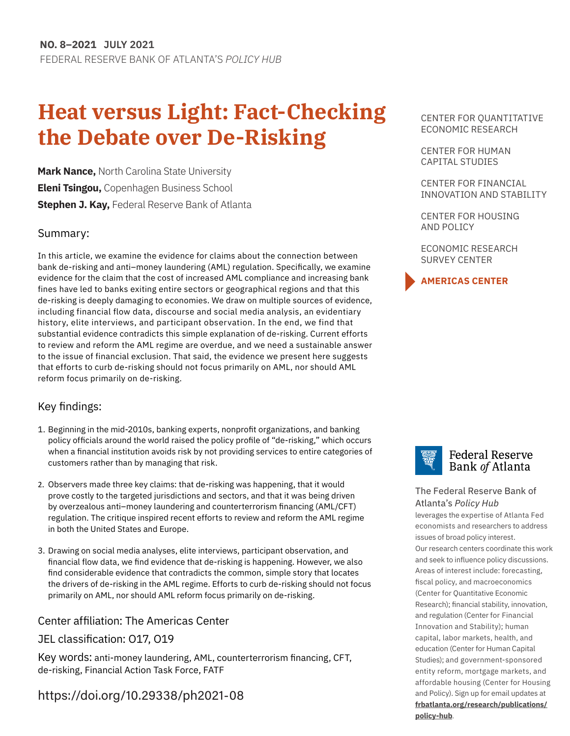# **Heat versus Light: Fact-Checking the Debate over De-Risking**

**Mark Nance,** North Carolina State University **Eleni Tsingou,** Copenhagen Business School **Stephen J. Kay,** Federal Reserve Bank of Atlanta

# Summary:

In this article, we examine the evidence for claims about the connection between bank de-risking and anti–money laundering (AML) regulation. Specifically, we examine evidence for the claim that the cost of increased AML compliance and increasing bank fines have led to banks exiting entire sectors or geographical regions and that this de-risking is deeply damaging to economies. We draw on multiple sources of evidence, including financial flow data, discourse and social media analysis, an evidentiary history, elite interviews, and participant observation. In the end, we find that substantial evidence contradicts this simple explanation of de-risking. Current efforts to review and reform the AML regime are overdue, and we need a sustainable answer to the issue of financial exclusion. That said, the evidence we present here suggests that efforts to curb de-risking should not focus primarily on AML, nor should AML reform focus primarily on de-risking.

# Key findings:

- 1. Beginning in the mid-2010s, banking experts, nonprofit organizations, and banking policy officials around the world raised the policy profile of "de-risking," which occurs when a financial institution avoids risk by not providing services to entire categories of customers rather than by managing that risk.
- 2. Observers made three key claims: that de-risking was happening, that it would prove costly to the targeted jurisdictions and sectors, and that it was being driven by overzealous anti–money laundering and counterterrorism financing (AML/CFT) regulation. The critique inspired recent efforts to review and reform the AML regime in both the United States and Europe.
- 3. Drawing on social media analyses, elite interviews, participant observation, and financial flow data, we find evidence that de-risking is happening. However, we also find considerable evidence that contradicts the common, simple story that locates the drivers of de-risking in the AML regime. Efforts to curb de-risking should not focus primarily on AML, nor should AML reform focus primarily on de-risking.

# Center affiliation: The Americas Center

# JEL classification: O17, O19

Key words: anti-money laundering, AML, counterterrorism financing, CFT, de-risking, Financial Action Task Force, FATF

# <https://doi.org/10.29338/ph2021-08>

CENTER FOR QUANTITATIVE ECONOMIC RESEARCH

[CENTER FOR HUMAN](https://www.frbatlanta.org/chcs#:~:text=The%20Center%20for%20Human%20Capital,and%20outside%20the%20Atlanta%20Fed.) [CAPITAL STUDIES](https://www.frbatlanta.org/chcs#:~:text=The%20Center%20for%20Human%20Capital,and%20outside%20the%20Atlanta%20Fed.)

CENTER FOR FINANCIAL INNOVATION AND STABILITY

CENTER FOR HOUSING AND POLICY

ECONOMIC RESEARCH SURVEY CENTER





# **Federal Reserve** Bank of Atlanta

# [The Federal Reserve Bank of](http://frbatlanta.org/)  Atlanta's *Policy Hub*

leverages the expertise of Atlanta Fed economists and researchers to address issues of broad policy interest. Our research centers coordinate this work and seek to influence policy discussions. Areas of interest include: forecasting, fiscal policy, and macroeconomics (Center for Quantitative Economic Research); financial stability, innovation, and regulation (Center for Financial Innovation and Stability); human capital, labor markets, health, and education (Center for Human Capital Studies); and government-sponsored entity reform, mortgage markets, and affordable housing (Center for Housing and Policy). Sign up for email updates at **[frbatlanta.org/research/publications](http://frbatlanta.org/research/publications/policy-hub)[/](http://frbatlanta.org/research/publications/policy-hub.aspx) [policy-hub](http://frbatlanta.org/research/publications/policy-hub)**.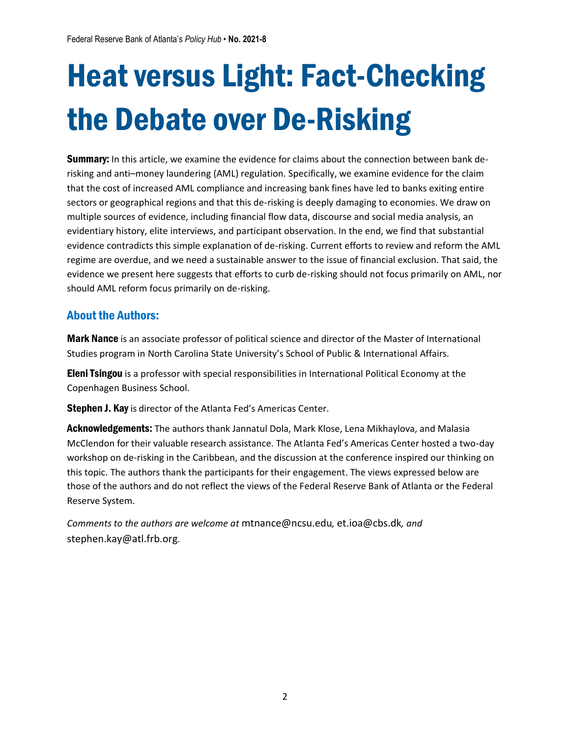# Heat versus Light: Fact-Checking the Debate over De-Risking

**Summary:** In this article, we examine the evidence for claims about the connection between bank derisking and anti–money laundering (AML) regulation. Specifically, we examine evidence for the claim that the cost of increased AML compliance and increasing bank fines have led to banks exiting entire sectors or geographical regions and that this de-risking is deeply damaging to economies. We draw on multiple sources of evidence, including financial flow data, discourse and social media analysis, an evidentiary history, elite interviews, and participant observation. In the end, we find that substantial evidence contradicts this simple explanation of de-risking. Current efforts to review and reform the AML regime are overdue, and we need a sustainable answer to the issue of financial exclusion. That said, the evidence we present here suggests that efforts to curb de-risking should not focus primarily on AML, nor should AML reform focus primarily on de-risking.

# About the Authors:

Mark Nance is an associate professor of political science and director of the Master of International Studies program in North Carolina State University's School of Public & International Affairs.

**Eleni Tsingou** is a professor with special responsibilities in International Political Economy at the Copenhagen Business School.

Stephen J. Kay is director of the Atlanta Fed's Americas Center.

Acknowledgements: The authors thank Jannatul Dola, Mark Klose, Lena Mikhaylova, and Malasia McClendon for their valuable research assistance. The Atlanta Fed's Americas Center hosted a two-day workshop on de-risking in the Caribbean, and the discussion at the conference inspired our thinking on this topic. The authors thank the participants for their engagement. The views expressed below are those of the authors and do not reflect the views of the Federal Reserve Bank of Atlanta or the Federal Reserve System.

*Comments to the authors are welcome at* mtnance@ncsu.edu*,* et.ioa@cbs.dk*, and* stephen.kay@atl.frb.org*.*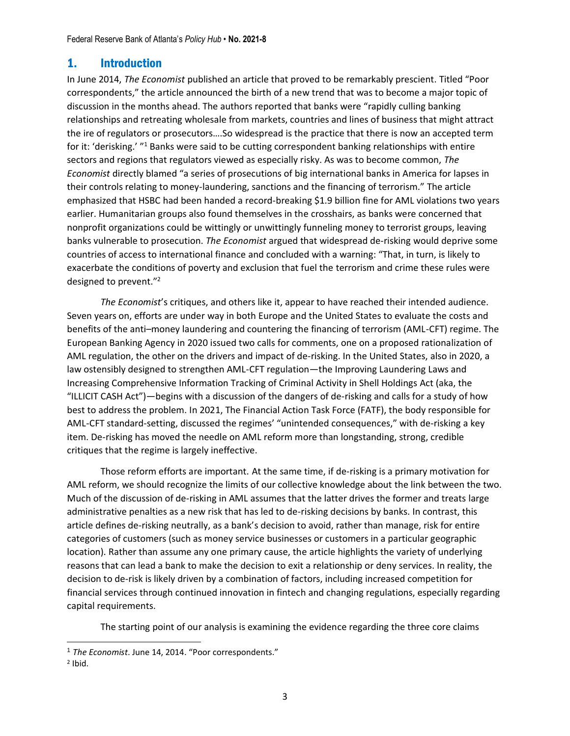# 1. Introduction

In June 2014, *The Economist* published an article that proved to be remarkably prescient. Titled "Poor correspondents," the article announced the birth of a new trend that was to become a major topic of discussion in the months ahead. The authors reported that banks were "rapidly culling banking relationships and retreating wholesale from markets, countries and lines of business that might attract the ire of regulators or prosecutors….So widespread is the practice that there is now an accepted term for it: 'derisking.' "<sup>1</sup> Banks were said to be cutting correspondent banking relationships with entire sectors and regions that regulators viewed as especially risky. As was to become common, *The Economist* directly blamed "a series of prosecutions of big international banks in America for lapses in their controls relating to money-laundering, sanctions and the financing of terrorism." The article emphasized that HSBC had been handed a record-breaking \$1.9 billion fine for AML violations two years earlier. Humanitarian groups also found themselves in the crosshairs, as banks were concerned that nonprofit organizations could be wittingly or unwittingly funneling money to terrorist groups, leaving banks vulnerable to prosecution. *The Economist* argued that widespread de-risking would deprive some countries of access to international finance and concluded with a warning: "That, in turn, is likely to exacerbate the conditions of poverty and exclusion that fuel the terrorism and crime these rules were designed to prevent."<sup>2</sup>

*The Economist*'s critiques, and others like it, appear to have reached their intended audience. Seven years on, efforts are under way in both Europe and the United States to evaluate the costs and benefits of the anti–money laundering and countering the financing of terrorism (AML-CFT) regime. The European Banking Agency in 2020 issued two calls for comments, one on a proposed rationalization of AML regulation, the other on the drivers and impact of de-risking. In the United States, also in 2020, a law ostensibly designed to strengthen AML-CFT regulation—the Improving Laundering Laws and Increasing Comprehensive Information Tracking of Criminal Activity in Shell Holdings Act (aka, the "ILLICIT CASH Act")—begins with a discussion of the dangers of de-risking and calls for a study of how best to address the problem. In 2021, The Financial Action Task Force (FATF), the body responsible for AML-CFT standard-setting, discussed the regimes' "unintended consequences," with de-risking a key item. De-risking has moved the needle on AML reform more than longstanding, strong, credible critiques that the regime is largely ineffective.

Those reform efforts are important. At the same time, if de-risking is a primary motivation for AML reform, we should recognize the limits of our collective knowledge about the link between the two. Much of the discussion of de-risking in AML assumes that the latter drives the former and treats large administrative penalties as a new risk that has led to de-risking decisions by banks. In contrast, this article defines de-risking neutrally, as a bank's decision to avoid, rather than manage, risk for entire categories of customers (such as money service businesses or customers in a particular geographic location). Rather than assume any one primary cause, the article highlights the variety of underlying reasons that can lead a bank to make the decision to exit a relationship or deny services. In reality, the decision to de-risk is likely driven by a combination of factors, including increased competition for financial services through continued innovation in fintech and changing regulations, especially regarding capital requirements.

The starting point of our analysis is examining the evidence regarding the three core claims

<sup>1</sup> *The Economist*. June 14, 2014. "Poor correspondents."

 $2$  Ibid.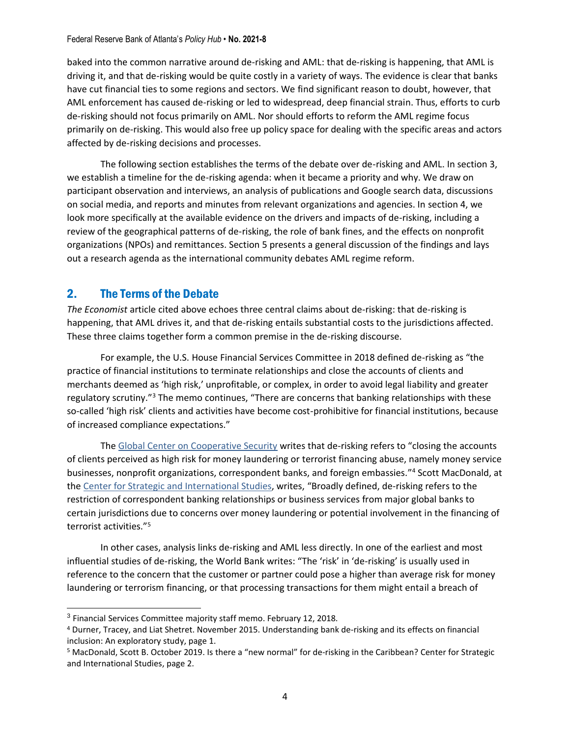baked into the common narrative around de-risking and AML: that de-risking is happening, that AML is driving it, and that de-risking would be quite costly in a variety of ways. The evidence is clear that banks have cut financial ties to some regions and sectors. We find significant reason to doubt, however, that AML enforcement has caused de-risking or led to widespread, deep financial strain. Thus, efforts to curb de-risking should not focus primarily on AML. Nor should efforts to reform the AML regime focus primarily on de-risking. This would also free up policy space for dealing with the specific areas and actors affected by de-risking decisions and processes.

The following section establishes the terms of the debate over de-risking and AML. In section 3, we establish a timeline for the de-risking agenda: when it became a priority and why. We draw on participant observation and interviews, an analysis of publications and Google search data, discussions on social media, and reports and minutes from relevant organizations and agencies. In section 4, we look more specifically at the available evidence on the drivers and impacts of de-risking, including a review of the geographical patterns of de-risking, the role of bank fines, and the effects on nonprofit organizations (NPOs) and remittances. Section 5 presents a general discussion of the findings and lays out a research agenda as the international community debates AML regime reform.

# 2. The Terms of the Debate

*The Economist* article cited above echoes three central claims about de-risking: that de-risking is happening, that AML drives it, and that de-risking entails substantial costs to the jurisdictions affected. These three claims together form a common premise in the de-risking discourse.

For example, the U.S. House Financial Services Committee in 2018 defined de-risking as "the practice of financial institutions to terminate relationships and close the accounts of clients and merchants deemed as 'high risk,' unprofitable, or complex, in order to avoid legal liability and greater regulatory scrutiny."<sup>3</sup> The memo continues, "There are concerns that banking relationships with these so-called 'high risk' clients and activities have become cost-prohibitive for financial institutions, because of increased compliance expectations."

The [Global Center on Cooperative Security](https://www.globalcenter.org/publications/understanding-bank-de-risking-and-its-effects-on-financial-inclusion-2/) writes that de-risking refers to "closing the accounts of clients perceived as high risk for money laundering or terrorist financing abuse, namely money service businesses, nonprofit organizations, correspondent banks, and foreign embassies." <sup>4</sup> Scott MacDonald, at th[e Center for Strategic and International Studies,](https://www.csis.org/analysis/there-new-normal-de-risking-caribbean) writes, "Broadly defined, de-risking refers to the restriction of correspondent banking relationships or business services from major global banks to certain jurisdictions due to concerns over money laundering or potential involvement in the financing of terrorist activities."<sup>5</sup>

In other cases, analysis links de-risking and AML less directly. In one of the earliest and most influential studies of de-risking, the World Bank writes: "The 'risk' in 'de-risking' is usually used in reference to the concern that the customer or partner could pose a higher than average risk for money laundering or terrorism financing, or that processing transactions for them might entail a breach of

<sup>&</sup>lt;sup>3</sup> Financial Services Committee majority staff memo. February 12, 2018.

<sup>4</sup> Durner, Tracey, and Liat Shetret. November 2015. Understanding bank de-risking and its effects on financial inclusion: An exploratory study, page 1.

<sup>5</sup> MacDonald, Scott B. October 2019. Is there a "new normal" for de-risking in the Caribbean? Center for Strategic and International Studies, page 2.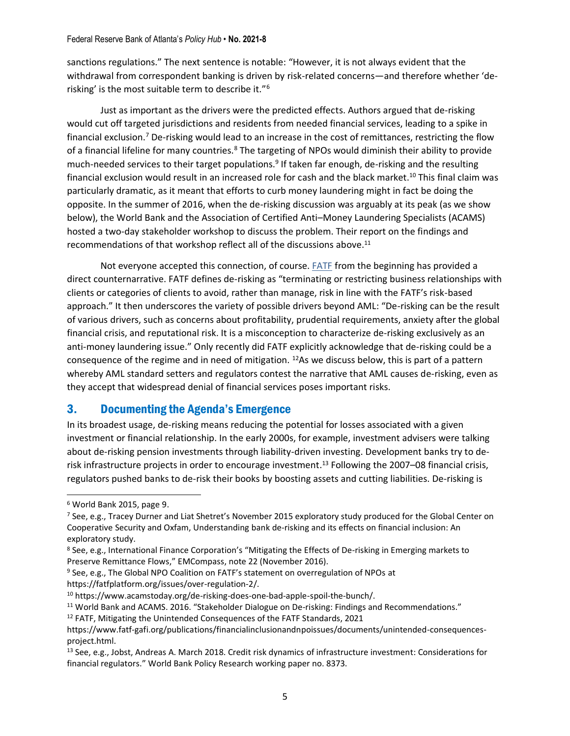sanctions regulations." The next sentence is notable: "However, it is not always evident that the withdrawal from correspondent banking is driven by risk-related concerns—and therefore whether 'derisking' is the most suitable term to describe it."<sup>6</sup>

Just as important as the drivers were the predicted effects. Authors argued that de-risking would cut off targeted jurisdictions and residents from needed financial services, leading to a spike in financial exclusion.<sup>7</sup> De-risking would lead to an increase in the cost of remittances, restricting the flow of a financial lifeline for many countries.<sup>8</sup> The targeting of NPOs would diminish their ability to provide much-needed services to their target populations.<sup>9</sup> If taken far enough, de-risking and the resulting financial exclusion would result in an increased role for cash and the black market.<sup>10</sup> This final claim was particularly dramatic, as it meant that efforts to curb money laundering might in fact be doing the opposite. In the summer of 2016, when the de-risking discussion was arguably at its peak (as we show below), the World Bank and the Association of Certified Anti–Money Laundering Specialists (ACAMS) hosted a two-day stakeholder workshop to discuss the problem. Their report on the findings and recommendations of that workshop reflect all of the discussions above. $^{11}$ 

Not everyone accepted this connection, of course. [FATF](https://www.fatf-gafi.org/documents/news/rba-and-de-risking.html) from the beginning has provided a direct counternarrative. FATF defines de-risking as "terminating or restricting business relationships with clients or categories of clients to avoid, rather than manage, risk in line with the FATF's risk-based approach." It then underscores the variety of possible drivers beyond AML: "De-risking can be the result of various drivers, such as concerns about profitability, prudential requirements, anxiety after the global financial crisis, and reputational risk. It is a misconception to characterize de-risking exclusively as an anti-money laundering issue." Only recently did FATF explicitly acknowledge that de-risking could be a consequence of the regime and in need of mitigation. <sup>12</sup>As we discuss below, this is part of a pattern whereby AML standard setters and regulators contest the narrative that AML causes de-risking, even as they accept that widespread denial of financial services poses important risks.

# 3. Documenting the Agenda's Emergence

In its broadest usage, de-risking means reducing the potential for losses associated with a given investment or financial relationship. In the early 2000s, for example, investment advisers were talking about de-risking pension investments through liability-driven investing. Development banks try to derisk infrastructure projects in order to encourage investment. <sup>13</sup> Following the 2007–08 financial crisis, regulators pushed banks to de-risk their books by boosting assets and cutting liabilities. De-risking is

<sup>9</sup> See, e.g., The Global NPO Coalition on FATF's statement on overregulation of NPOs at

https://fatfplatform.org/issues/over-regulation-2/.

<sup>6</sup> World Bank 2015, page 9.

<sup>&</sup>lt;sup>7</sup> See, e.g., Tracey Durner and Liat Shetret's November 2015 exploratory study produced for the Global Center on Cooperative Security and Oxfam, Understanding bank de-risking and its effects on financial inclusion: An exploratory study.

<sup>8</sup> See, e.g., International Finance Corporation's "Mitigating the Effects of De-risking in Emerging markets to Preserve Remittance Flows," EMCompass, note 22 (November 2016).

<sup>10</sup> https://www.acamstoday.org/de-risking-does-one-bad-apple-spoil-the-bunch/.

<sup>11</sup> World Bank and ACAMS. 2016. "Stakeholder Dialogue on De-risking: Findings and Recommendations."

<sup>&</sup>lt;sup>12</sup> FATF, Mitigating the Unintended Consequences of the FATF Standards, 2021

https://www.fatf-gafi.org/publications/financialinclusionandnpoissues/documents/unintended-consequencesproject.html.

<sup>13</sup> See, e.g., Jobst, Andreas A. March 2018. Credit risk dynamics of infrastructure investment: Considerations for financial regulators." World Bank Policy Research working paper no. 8373.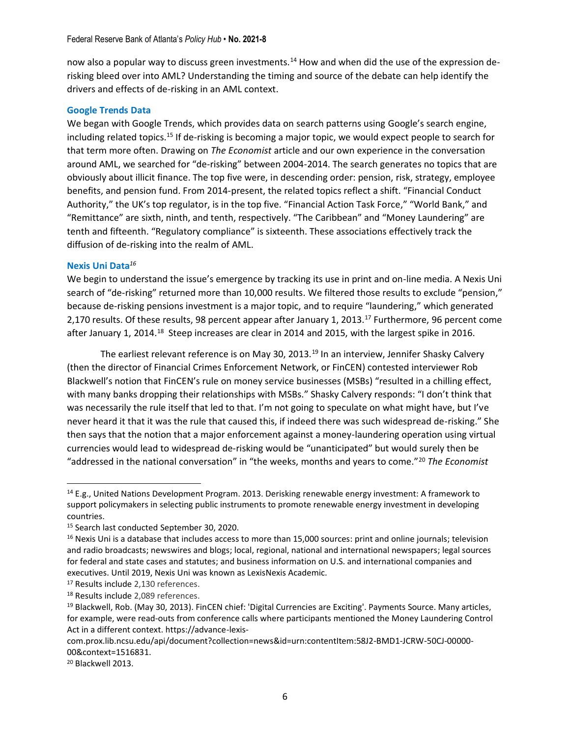now also a popular way to discuss green investments.<sup>14</sup> How and when did the use of the expression derisking bleed over into AML? Understanding the timing and source of the debate can help identify the drivers and effects of de-risking in an AML context.

#### **Google Trends Data**

We began with Google Trends, which provides data on search patterns using Google's search engine, including related topics.<sup>15</sup> If de-risking is becoming a major topic, we would expect people to search for that term more often. Drawing on *The Economist* article and our own experience in the conversation around AML, we searched for "de-risking" between 2004-2014. The search generates no topics that are obviously about illicit finance. The top five were, in descending order: pension, risk, strategy, employee benefits, and pension fund. From 2014-present, the related topics reflect a shift. "Financial Conduct Authority," the UK's top regulator, is in the top five. "Financial Action Task Force," "World Bank," and "Remittance" are sixth, ninth, and tenth, respectively. "The Caribbean" and "Money Laundering" are tenth and fifteenth. "Regulatory compliance" is sixteenth. These associations effectively track the diffusion of de-risking into the realm of AML.

#### **Nexis Uni Data***<sup>16</sup>*

We begin to understand the issue's emergence by tracking its use in print and on-line media. A Nexis Uni search of "de-risking" returned more than 10,000 results. We filtered those results to exclude "pension," because de-risking pensions investment is a major topic, and to require "laundering," which generated 2,170 results. Of these results, 98 percent appear after January 1, 2013.<sup>17</sup> Furthermore, 96 percent come after January 1, 2014.<sup>18</sup> Steep increases are clear in 2014 and 2015, with the largest spike in 2016.

The earliest relevant reference is on May 30, 2013.<sup>19</sup> In an interview, Jennifer Shasky Calvery (then the director of Financial Crimes Enforcement Network, or FinCEN) contested interviewer Rob Blackwell's notion that FinCEN's rule on money service businesses (MSBs) "resulted in a chilling effect, with many banks dropping their relationships with MSBs." Shasky Calvery responds: "I don't think that was necessarily the rule itself that led to that. I'm not going to speculate on what might have, but I've never heard it that it was the rule that caused this, if indeed there was such widespread de-risking." She then says that the notion that a major enforcement against a money-laundering operation using virtual currencies would lead to widespread de-risking would be "unanticipated" but would surely then be "addressed in the national conversation" in "the weeks, months and years to come."<sup>20</sup> *The Economist*

<sup>14</sup> E.g., United Nations Development Program. 2013. Derisking renewable energy investment: A framework to support policymakers in selecting public instruments to promote renewable energy investment in developing countries.

<sup>15</sup> Search last conducted September 30, 2020.

<sup>&</sup>lt;sup>16</sup> Nexis Uni is a database that includes access to more than 15,000 sources: print and online journals; television and radio broadcasts; newswires and blogs; local, regional, national and international newspapers; legal sources for federal and state cases and statutes; and business information on U.S. and international companies and executives. Until 2019, Nexis Uni was known as LexisNexis Academic.

<sup>17</sup> Results include 2,130 references.

<sup>18</sup> Results include 2,089 references.

<sup>&</sup>lt;sup>19</sup> Blackwell, Rob. (May 30, 2013). FinCEN chief: 'Digital Currencies are Exciting'. Payments Source. Many articles, for example, were read-outs from conference calls where participants mentioned the Money Laundering Control Act in a different context. https://advance-lexis-

com.prox.lib.ncsu.edu/api/document?collection=news&id=urn:contentItem:58J2-BMD1-JCRW-50CJ-00000- 00&context=1516831.

<sup>20</sup> Blackwell 2013.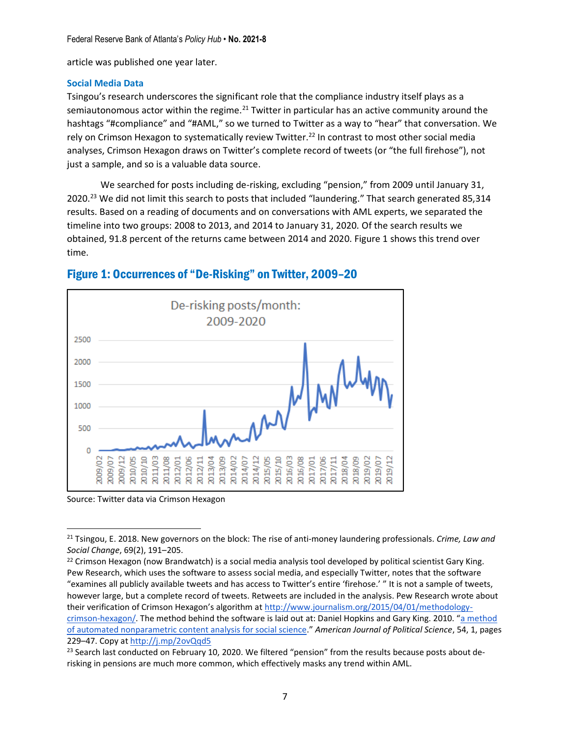article was published one year later.

#### **Social Media Data**

Tsingou's research underscores the significant role that the compliance industry itself plays as a semiautonomous actor within the regime.<sup>21</sup> Twitter in particular has an active community around the hashtags "#compliance" and "#AML," so we turned to Twitter as a way to "hear" that conversation. We rely on Crimson Hexagon to systematically review Twitter.<sup>22</sup> In contrast to most other social media analyses, Crimson Hexagon draws on Twitter's complete record of tweets (or "the full firehose"), not just a sample, and so is a valuable data source.

We searched for posts including de-risking, excluding "pension," from 2009 until January 31, 2020.<sup>23</sup> We did not limit this search to posts that included "laundering." That search generated 85,314 results. Based on a reading of documents and on conversations with AML experts, we separated the timeline into two groups: 2008 to 2013, and 2014 to January 31, 2020. Of the search results we obtained, 91.8 percent of the returns came between 2014 and 2020. Figure 1 shows this trend over time.



# Figure 1: Occurrences of "De-Risking" on Twitter, 2009–20

Source: Twitter data via Crimson Hexagon

<sup>21</sup> Tsingou, E. 2018. New governors on the block: The rise of anti-money laundering professionals. *Crime, Law and Social Change*, 69(2), 191–205.

<sup>&</sup>lt;sup>22</sup> Crimson Hexagon (now Brandwatch) is a social media analysis tool developed by political scientist Gary King. Pew Research, which uses the software to assess social media, and especially Twitter, notes that the software "examines all publicly available tweets and has access to Twitter's entire 'firehose.' " It is not a sample of tweets, however large, but a complete record of tweets. Retweets are included in the analysis. Pew Research wrote about their verification of Crimson Hexagon's algorithm at [http://www.journalism.org/2015/04/01/methodology](http://www.journalism.org/2015/04/01/methodology-crimson-hexagon/)[crimson-hexagon/](http://www.journalism.org/2015/04/01/methodology-crimson-hexagon/). The method behind the software is laid out at: Daniel Hopkins and Gary King. 2010. "[a method](https://gking.harvard.edu/files/abs/words-abs.shtml)  [of automated nonparametric content analysis for social science](https://gking.harvard.edu/files/abs/words-abs.shtml)." *American Journal of Political Science*, 54, 1, pages 229–47. Copy at<http://j.mp/2ovQqd5>

<sup>&</sup>lt;sup>23</sup> Search last conducted on February 10, 2020. We filtered "pension" from the results because posts about derisking in pensions are much more common, which effectively masks any trend within AML.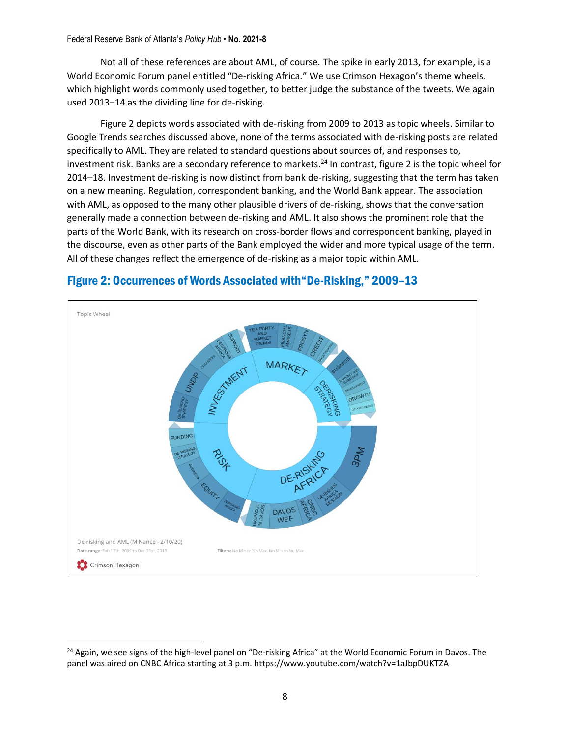Not all of these references are about AML, of course. The spike in early 2013, for example, is a World Economic Forum panel entitled "De-risking Africa." We use Crimson Hexagon's theme wheels, which highlight words commonly used together, to better judge the substance of the tweets. We again used 2013–14 as the dividing line for de-risking.

Figure 2 depicts words associated with de-risking from 2009 to 2013 as topic wheels. Similar to Google Trends searches discussed above, none of the terms associated with de-risking posts are related specifically to AML. They are related to standard questions about sources of, and responses to, investment risk. Banks are a secondary reference to markets.<sup>24</sup> In contrast, figure 2 is the topic wheel for 2014–18. Investment de-risking is now distinct from bank de-risking, suggesting that the term has taken on a new meaning. Regulation, correspondent banking, and the World Bank appear. The association with AML, as opposed to the many other plausible drivers of de-risking, shows that the conversation generally made a connection between de-risking and AML. It also shows the prominent role that the parts of the World Bank, with its research on cross-border flows and correspondent banking, played in the discourse, even as other parts of the Bank employed the wider and more typical usage of the term. All of these changes reflect the emergence of de-risking as a major topic within AML.



# Figure 2: Occurrences of Words Associated with"De-Risking," 2009–13

<sup>&</sup>lt;sup>24</sup> Again, we see signs of the high-level panel on "De-risking Africa" at the World Economic Forum in Davos. The panel was aired on CNBC Africa starting at 3 p.m. https://www.youtube.com/watch?v=1aJbpDUKTZA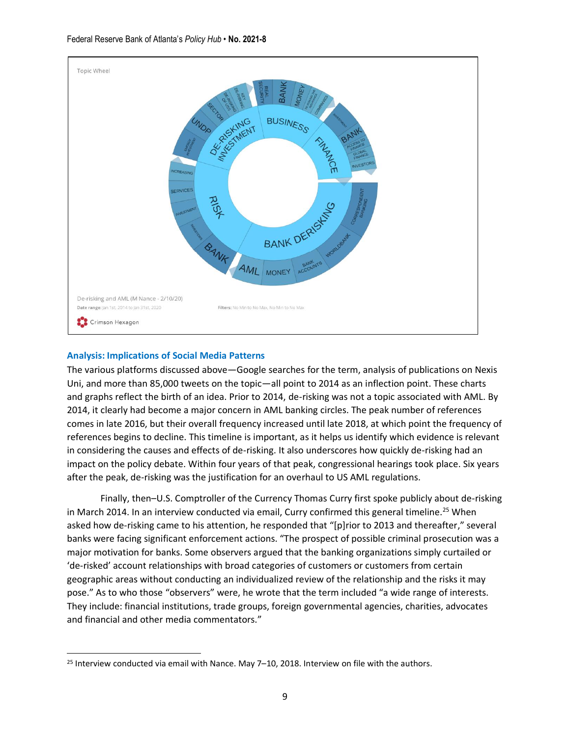

# **Analysis: Implications of Social Media Patterns**

The various platforms discussed above—Google searches for the term, analysis of publications on Nexis Uni, and more than 85,000 tweets on the topic—all point to 2014 as an inflection point. These charts and graphs reflect the birth of an idea. Prior to 2014, de-risking was not a topic associated with AML. By 2014, it clearly had become a major concern in AML banking circles. The peak number of references comes in late 2016, but their overall frequency increased until late 2018, at which point the frequency of references begins to decline. This timeline is important, as it helps us identify which evidence is relevant in considering the causes and effects of de-risking. It also underscores how quickly de-risking had an impact on the policy debate. Within four years of that peak, congressional hearings took place. Six years after the peak, de-risking was the justification for an overhaul to US AML regulations.

Finally, then–U.S. Comptroller of the Currency Thomas Curry first spoke publicly about de-risking in March 2014. In an interview conducted via email, Curry confirmed this general timeline.<sup>25</sup> When asked how de-risking came to his attention, he responded that "[p]rior to 2013 and thereafter," several banks were facing significant enforcement actions. "The prospect of possible criminal prosecution was a major motivation for banks. Some observers argued that the banking organizations simply curtailed or 'de-risked' account relationships with broad categories of customers or customers from certain geographic areas without conducting an individualized review of the relationship and the risks it may pose." As to who those "observers" were, he wrote that the term included "a wide range of interests. They include: financial institutions, trade groups, foreign governmental agencies, charities, advocates and financial and other media commentators."

<sup>25</sup> Interview conducted via email with Nance. May 7–10, 2018. Interview on file with the authors.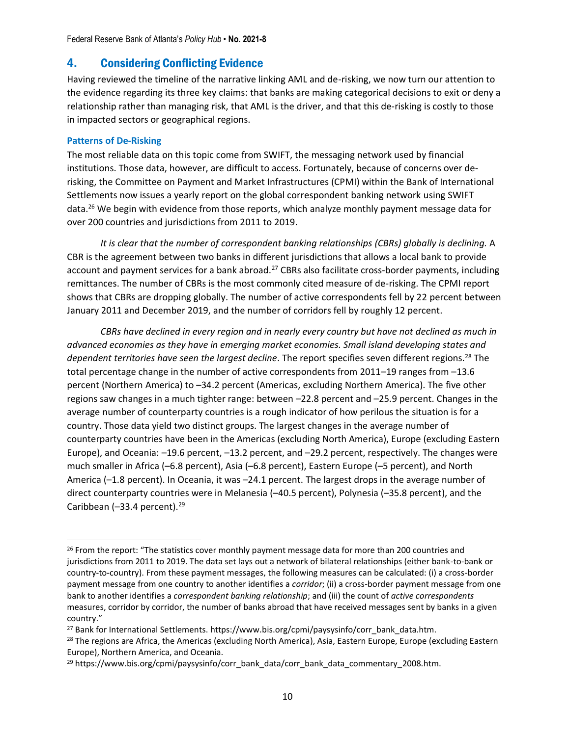# 4. Considering Conflicting Evidence

Having reviewed the timeline of the narrative linking AML and de-risking, we now turn our attention to the evidence regarding its three key claims: that banks are making categorical decisions to exit or deny a relationship rather than managing risk, that AML is the driver, and that this de-risking is costly to those in impacted sectors or geographical regions.

## **Patterns of De-Risking**

The most reliable data on this topic come from SWIFT, the messaging network used by financial institutions. Those data, however, are difficult to access. Fortunately, because of concerns over derisking, the Committee on Payment and Market Infrastructures (CPMI) within the Bank of International Settlements now issues a yearly report on the global correspondent banking network using SWIFT data. <sup>26</sup> We begin with evidence from those reports, which analyze monthly payment message data for over 200 countries and jurisdictions from 2011 to 2019.

*It is clear that the number of correspondent banking relationships (CBRs) globally is declining.* A CBR is the agreement between two banks in different jurisdictions that allows a local bank to provide account and payment services for a bank abroad.<sup>27</sup> CBRs also facilitate cross-border payments, including remittances. The number of CBRs is the most commonly cited measure of de-risking. The CPMI report shows that CBRs are dropping globally. The number of active correspondents fell by 22 percent between January 2011 and December 2019, and the number of corridors fell by roughly 12 percent.

*CBRs have declined in every region and in nearly every country but have not declined as much in advanced economies as they have in emerging market economies. Small island developing states and dependent territories have seen the largest decline*. The report specifies seven different regions. <sup>28</sup> The total percentage change in the number of active correspondents from 2011–19 ranges from –13.6 percent (Northern America) to –34.2 percent (Americas, excluding Northern America). The five other regions saw changes in a much tighter range: between –22.8 percent and –25.9 percent. Changes in the average number of counterparty countries is a rough indicator of how perilous the situation is for a country. Those data yield two distinct groups. The largest changes in the average number of counterparty countries have been in the Americas (excluding North America), Europe (excluding Eastern Europe), and Oceania: –19.6 percent, –13.2 percent, and –29.2 percent, respectively. The changes were much smaller in Africa (–6.8 percent), Asia (–6.8 percent), Eastern Europe (–5 percent), and North America (–1.8 percent). In Oceania, it was –24.1 percent. The largest drops in the average number of direct counterparty countries were in Melanesia (–40.5 percent), Polynesia (–35.8 percent), and the Caribbean (-33.4 percent).<sup>29</sup>

<sup>&</sup>lt;sup>26</sup> From the report: "The statistics cover monthly payment message data for more than 200 countries and jurisdictions from 2011 to 2019. The data set lays out a network of bilateral relationships (either bank-to-bank or country-to-country). From these payment messages, the following measures can be calculated: (i) a cross-border payment message from one country to another identifies a *corridor*; (ii) a cross-border payment message from one bank to another identifies a *correspondent banking relationship*; and (iii) the count of *active correspondents* measures, corridor by corridor, the number of banks abroad that have received messages sent by banks in a given country."

<sup>&</sup>lt;sup>27</sup> Bank for International Settlements. https://www.bis.org/cpmi/paysysinfo/corr\_bank\_data.htm.

<sup>&</sup>lt;sup>28</sup> The regions are Africa, the Americas (excluding North America), Asia, Eastern Europe, Europe (excluding Eastern Europe), Northern America, and Oceania.

<sup>29</sup> https://www.bis.org/cpmi/paysysinfo/corr\_bank\_data/corr\_bank\_data\_commentary\_2008.htm.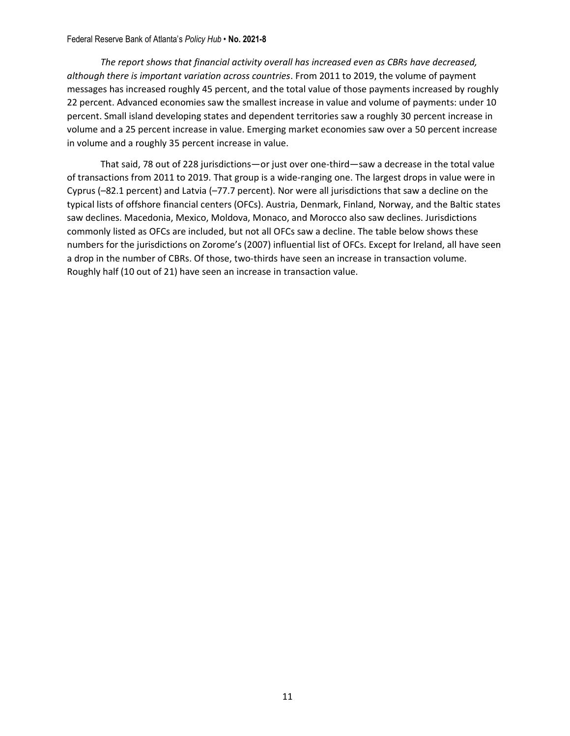*The report shows that financial activity overall has increased even as CBRs have decreased, although there is important variation across countries*. From 2011 to 2019, the volume of payment messages has increased roughly 45 percent, and the total value of those payments increased by roughly 22 percent. Advanced economies saw the smallest increase in value and volume of payments: under 10 percent. Small island developing states and dependent territories saw a roughly 30 percent increase in volume and a 25 percent increase in value. Emerging market economies saw over a 50 percent increase in volume and a roughly 35 percent increase in value.

That said, 78 out of 228 jurisdictions—or just over one-third—saw a decrease in the total value of transactions from 2011 to 2019. That group is a wide-ranging one. The largest drops in value were in Cyprus (–82.1 percent) and Latvia (–77.7 percent). Nor were all jurisdictions that saw a decline on the typical lists of offshore financial centers (OFCs). Austria, Denmark, Finland, Norway, and the Baltic states saw declines. Macedonia, Mexico, Moldova, Monaco, and Morocco also saw declines. Jurisdictions commonly listed as OFCs are included, but not all OFCs saw a decline. The table below shows these numbers for the jurisdictions on Zorome's (2007) influential list of OFCs. Except for Ireland, all have seen a drop in the number of CBRs. Of those, two-thirds have seen an increase in transaction volume. Roughly half (10 out of 21) have seen an increase in transaction value.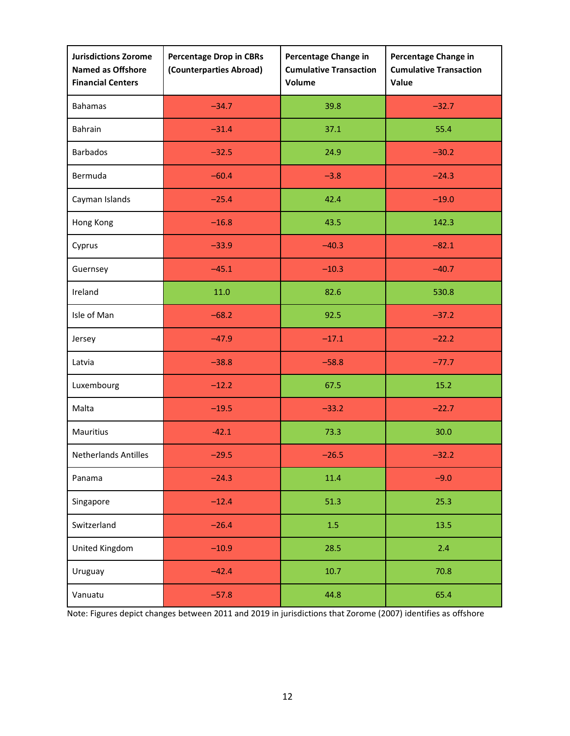| <b>Jurisdictions Zorome</b><br>Named as Offshore<br><b>Financial Centers</b> | <b>Percentage Drop in CBRs</b><br>(Counterparties Abroad) | Percentage Change in<br><b>Cumulative Transaction</b><br>Volume | Percentage Change in<br><b>Cumulative Transaction</b><br>Value |
|------------------------------------------------------------------------------|-----------------------------------------------------------|-----------------------------------------------------------------|----------------------------------------------------------------|
| <b>Bahamas</b>                                                               | $-34.7$                                                   | 39.8                                                            | $-32.7$                                                        |
| Bahrain                                                                      | $-31.4$                                                   | 37.1                                                            | 55.4                                                           |
| <b>Barbados</b>                                                              | $-32.5$                                                   | 24.9                                                            | $-30.2$                                                        |
| Bermuda                                                                      | $-60.4$                                                   | $-3.8$                                                          | $-24.3$                                                        |
| Cayman Islands                                                               | $-25.4$                                                   | 42.4                                                            | $-19.0$                                                        |
| Hong Kong                                                                    | $-16.8$                                                   | 43.5                                                            | 142.3                                                          |
| Cyprus                                                                       | $-33.9$                                                   | $-40.3$                                                         | $-82.1$                                                        |
| Guernsey                                                                     | $-45.1$                                                   | $-10.3$                                                         | $-40.7$                                                        |
| Ireland                                                                      | 11.0                                                      | 82.6                                                            | 530.8                                                          |
| Isle of Man                                                                  | $-68.2$                                                   | 92.5                                                            | $-37.2$                                                        |
| Jersey                                                                       | $-47.9$                                                   | $-17.1$                                                         | $-22.2$                                                        |
| Latvia                                                                       | $-38.8$                                                   | $-58.8$                                                         | $-77.7$                                                        |
| Luxembourg                                                                   | $-12.2$                                                   | 67.5                                                            | 15.2                                                           |
| Malta                                                                        | $-19.5$                                                   | $-33.2$                                                         | $-22.7$                                                        |
| Mauritius                                                                    | $-42.1$                                                   | 73.3                                                            | 30.0                                                           |
| <b>Netherlands Antilles</b>                                                  | $-29.5$                                                   | $-26.5$                                                         | $-32.2$                                                        |
| Panama                                                                       | $-24.3$                                                   | 11.4                                                            | $-9.0$                                                         |
| Singapore                                                                    | $-12.4$                                                   | 51.3                                                            | 25.3                                                           |
| Switzerland                                                                  | $-26.4$                                                   | 1.5                                                             | 13.5                                                           |
| United Kingdom                                                               | $-10.9$                                                   | 28.5                                                            | 2.4                                                            |
| Uruguay                                                                      | $-42.4$                                                   | 10.7                                                            | 70.8                                                           |
| Vanuatu                                                                      | $-57.8$                                                   | 44.8                                                            | 65.4                                                           |

Note: Figures depict changes between 2011 and 2019 in jurisdictions that Zorome (2007) identifies as offshore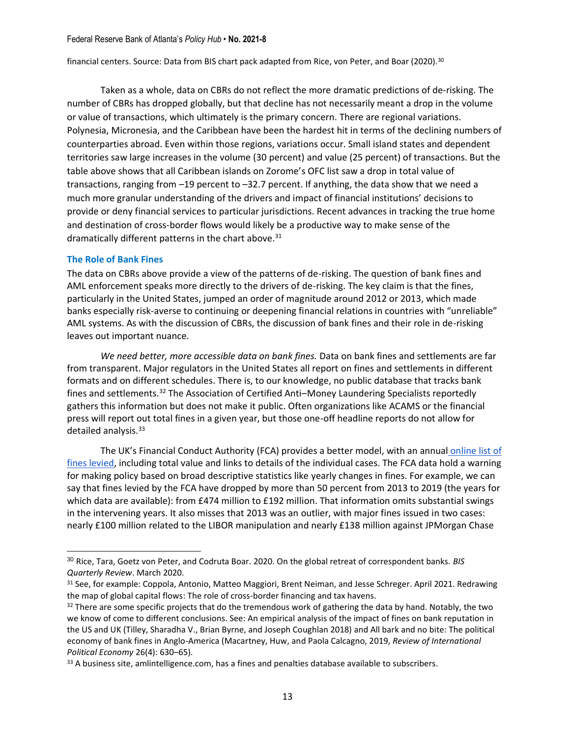financial centers. Source: Data from BIS chart pack adapted from Rice, von Peter, and Boar (2020). 30

Taken as a whole, data on CBRs do not reflect the more dramatic predictions of de-risking. The number of CBRs has dropped globally, but that decline has not necessarily meant a drop in the volume or value of transactions, which ultimately is the primary concern. There are regional variations. Polynesia, Micronesia, and the Caribbean have been the hardest hit in terms of the declining numbers of counterparties abroad. Even within those regions, variations occur. Small island states and dependent territories saw large increases in the volume (30 percent) and value (25 percent) of transactions. But the table above shows that all Caribbean islands on Zorome's OFC list saw a drop in total value of transactions, ranging from –19 percent to –32.7 percent. If anything, the data show that we need a much more granular understanding of the drivers and impact of financial institutions' decisions to provide or deny financial services to particular jurisdictions. Recent advances in tracking the true home and destination of cross-border flows would likely be a productive way to make sense of the dramatically different patterns in the chart above.<sup>31</sup>

### **The Role of Bank Fines**

The data on CBRs above provide a view of the patterns of de-risking. The question of bank fines and AML enforcement speaks more directly to the drivers of de-risking. The key claim is that the fines, particularly in the United States, jumped an order of magnitude around 2012 or 2013, which made banks especially risk-averse to continuing or deepening financial relations in countries with "unreliable" AML systems. As with the discussion of CBRs, the discussion of bank fines and their role in de-risking leaves out important nuance.

*We need better, more accessible data on bank fines.* Data on bank fines and settlements are far from transparent. Major regulators in the United States all report on fines and settlements in different formats and on different schedules. There is, to our knowledge, no public database that tracks bank fines and settlements.<sup>32</sup> The Association of Certified Anti–Money Laundering Specialists reportedly gathers this information but does not make it public. Often organizations like ACAMS or the financial press will report out total fines in a given year, but those one-off headline reports do not allow for detailed analysis.<sup>33</sup>

The UK's Financial Conduct Authority (FCA) provides a better model, with an annual [online list of](https://www.fca.org.uk/news/news-stories/2020-fines)  [fines levied,](https://www.fca.org.uk/news/news-stories/2020-fines) including total value and links to details of the individual cases. The FCA data hold a warning for making policy based on broad descriptive statistics like yearly changes in fines. For example, we can say that fines levied by the FCA have dropped by more than 50 percent from 2013 to 2019 (the years for which data are available): from £474 million to £192 million. That information omits substantial swings in the intervening years. It also misses that 2013 was an outlier, with major fines issued in two cases: nearly £100 million related to the LIBOR manipulation and nearly £138 million against JPMorgan Chase

<sup>30</sup> Rice, Tara, Goetz von Peter, and Codruta Boar. 2020. On the global retreat of correspondent banks. *BIS Quarterly Review*. March 2020.

<sup>31</sup> See, for example: Coppola, Antonio, Matteo Maggiori, Brent Neiman, and Jesse Schreger. April 2021. Redrawing the map of global capital flows: The role of cross-border financing and tax havens.

<sup>&</sup>lt;sup>32</sup> There are some specific projects that do the tremendous work of gathering the data by hand. Notably, the two we know of come to different conclusions. See: An empirical analysis of the impact of fines on bank reputation in the US and UK (Tilley, Sharadha V., Brian Byrne, and Joseph Coughlan 2018) and All bark and no bite: The political economy of bank fines in Anglo-America (Macartney, Huw, and Paola Calcagno, 2019, *Review of International Political Economy* 26(4): 630–65).

<sup>33</sup> A business site, amlintelligence.com, has a fines and penalties database available to subscribers.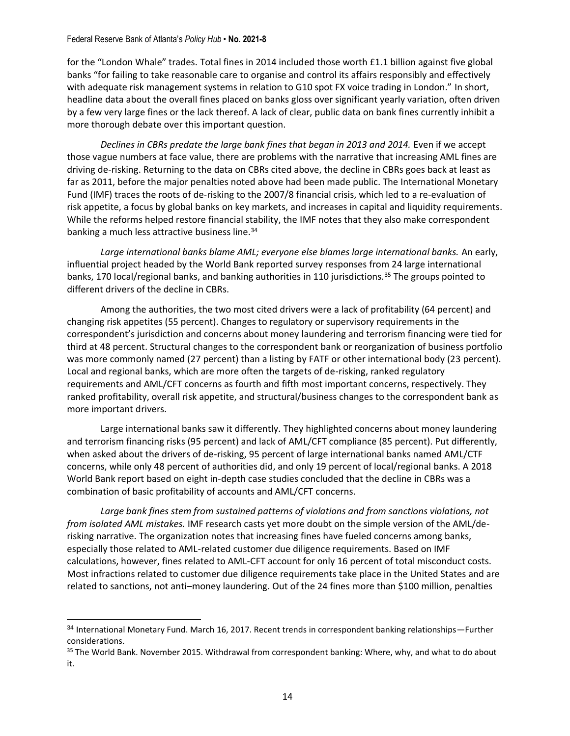for the "London Whale" trades. Total fines in 2014 included those worth £1.1 billion against five global banks "for failing to take reasonable care to organise and control its affairs responsibly and effectively with adequate risk management systems in relation to G10 spot FX voice trading in London." In short, headline data about the overall fines placed on banks gloss over significant yearly variation, often driven by a few very large fines or the lack thereof. A lack of clear, public data on bank fines currently inhibit a more thorough debate over this important question.

*Declines in CBRs predate the large bank fines that began in 2013 and 2014.* Even if we accept those vague numbers at face value, there are problems with the narrative that increasing AML fines are driving de-risking. Returning to the data on CBRs cited above, the decline in CBRs goes back at least as far as 2011, before the major penalties noted above had been made public. The International Monetary Fund (IMF) traces the roots of de-risking to the 2007/8 financial crisis, which led to a re-evaluation of risk appetite, a focus by global banks on key markets, and increases in capital and liquidity requirements. While the reforms helped restore financial stability, the IMF notes that they also make correspondent banking a much less attractive business line.<sup>34</sup>

*Large international banks blame AML; everyone else blames large international banks.* An early, influential project headed by the World Bank reported survey responses from 24 large international banks, 170 local/regional banks, and banking authorities in 110 jurisdictions.<sup>35</sup> The groups pointed to different drivers of the decline in CBRs.

Among the authorities, the two most cited drivers were a lack of profitability (64 percent) and changing risk appetites (55 percent). Changes to regulatory or supervisory requirements in the correspondent's jurisdiction and concerns about money laundering and terrorism financing were tied for third at 48 percent. Structural changes to the correspondent bank or reorganization of business portfolio was more commonly named (27 percent) than a listing by FATF or other international body (23 percent). Local and regional banks, which are more often the targets of de-risking, ranked regulatory requirements and AML/CFT concerns as fourth and fifth most important concerns, respectively. They ranked profitability, overall risk appetite, and structural/business changes to the correspondent bank as more important drivers.

Large international banks saw it differently. They highlighted concerns about money laundering and terrorism financing risks (95 percent) and lack of AML/CFT compliance (85 percent). Put differently, when asked about the drivers of de-risking, 95 percent of large international banks named AML/CTF concerns, while only 48 percent of authorities did, and only 19 percent of local/regional banks. A 2018 World Bank report based on eight in-depth case studies concluded that the decline in CBRs was a combination of basic profitability of accounts and AML/CFT concerns.

*Large bank fines stem from sustained patterns of violations and from sanctions violations, not from isolated AML mistakes.* IMF research casts yet more doubt on the simple version of the AML/derisking narrative. The organization notes that increasing fines have fueled concerns among banks, especially those related to AML-related customer due diligence requirements. Based on IMF calculations, however, fines related to AML-CFT account for only 16 percent of total misconduct costs. Most infractions related to customer due diligence requirements take place in the United States and are related to sanctions, not anti–money laundering. Out of the 24 fines more than \$100 million, penalties

<sup>34</sup> International Monetary Fund. March 16, 2017. Recent trends in correspondent banking relationships-Further considerations.

<sup>&</sup>lt;sup>35</sup> The World Bank. November 2015. Withdrawal from correspondent banking: Where, why, and what to do about it.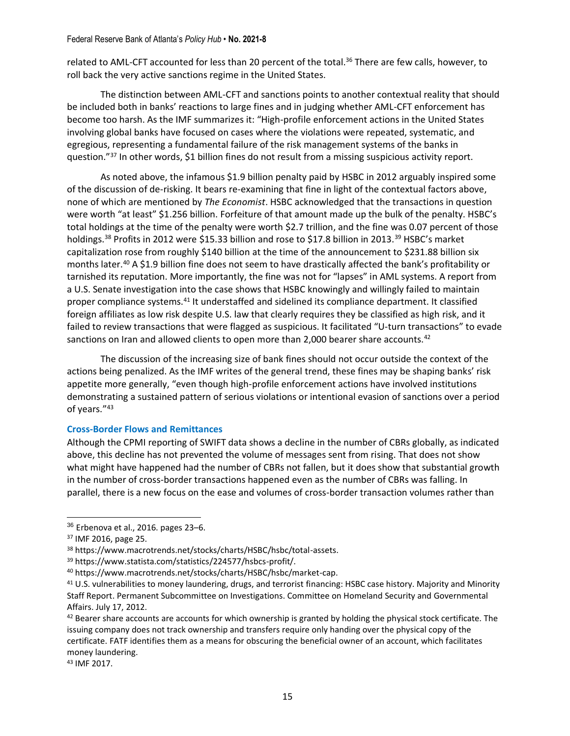related to AML-CFT accounted for less than 20 percent of the total.<sup>36</sup> There are few calls, however, to roll back the very active sanctions regime in the United States.

The distinction between AML-CFT and sanctions points to another contextual reality that should be included both in banks' reactions to large fines and in judging whether AML-CFT enforcement has become too harsh. As the IMF summarizes it: "High-profile enforcement actions in the United States involving global banks have focused on cases where the violations were repeated, systematic, and egregious, representing a fundamental failure of the risk management systems of the banks in question."<sup>37</sup> In other words, \$1 billion fines do not result from a missing suspicious activity report.

As noted above, the infamous \$1.9 billion penalty paid by HSBC in 2012 arguably inspired some of the discussion of de-risking. It bears re-examining that fine in light of the contextual factors above, none of which are mentioned by *The Economist*. HSBC acknowledged that the transactions in question were worth "at least" \$1.256 billion. Forfeiture of that amount made up the bulk of the penalty. HSBC's total holdings at the time of the penalty were worth \$2.7 trillion, and the fine was 0.07 percent of those holdings.<sup>38</sup> Profits in 2012 were \$15.33 billion and rose to \$17.8 billion in 2013.<sup>39</sup> HSBC's market capitalization rose from roughly \$140 billion at the time of the announcement to \$231.88 billion six months later.<sup>40</sup> A \$1.9 billion fine does not seem to have drastically affected the bank's profitability or tarnished its reputation. More importantly, the fine was not for "lapses" in AML systems. A report from a U.S. Senate investigation into the case shows that HSBC knowingly and willingly failed to maintain proper compliance systems.<sup>41</sup> It understaffed and sidelined its compliance department. It classified foreign affiliates as low risk despite U.S. law that clearly requires they be classified as high risk, and it failed to review transactions that were flagged as suspicious. It facilitated "U-turn transactions" to evade sanctions on Iran and allowed clients to open more than 2,000 bearer share accounts.<sup>42</sup>

The discussion of the increasing size of bank fines should not occur outside the context of the actions being penalized. As the IMF writes of the general trend, these fines may be shaping banks' risk appetite more generally, "even though high-profile enforcement actions have involved institutions demonstrating a sustained pattern of serious violations or intentional evasion of sanctions over a period of years."<sup>43</sup>

#### **Cross-Border Flows and Remittances**

Although the CPMI reporting of SWIFT data shows a decline in the number of CBRs globally, as indicated above, this decline has not prevented the volume of messages sent from rising. That does not show what might have happened had the number of CBRs not fallen, but it does show that substantial growth in the number of cross-border transactions happened even as the number of CBRs was falling. In parallel, there is a new focus on the ease and volumes of cross-border transaction volumes rather than

<sup>43</sup> IMF 2017.

<sup>36</sup> Erbenova et al., 2016. pages 23–6.

<sup>37</sup> IMF 2016, page 25.

<sup>38</sup> https://www.macrotrends.net/stocks/charts/HSBC/hsbc/total-assets.

<sup>39</sup> https://www.statista.com/statistics/224577/hsbcs-profit/.

<sup>40</sup> https://www.macrotrends.net/stocks/charts/HSBC/hsbc/market-cap.

<sup>&</sup>lt;sup>41</sup> U.S. vulnerabilities to money laundering, drugs, and terrorist financing: HSBC case history. Majority and Minority Staff Report. Permanent Subcommittee on Investigations. Committee on Homeland Security and Governmental Affairs. July 17, 2012.

<sup>42</sup> Bearer share accounts are accounts for which ownership is granted by holding the physical stock certificate. The issuing company does not track ownership and transfers require only handing over the physical copy of the certificate. FATF identifies them as a means for obscuring the beneficial owner of an account, which facilitates money laundering.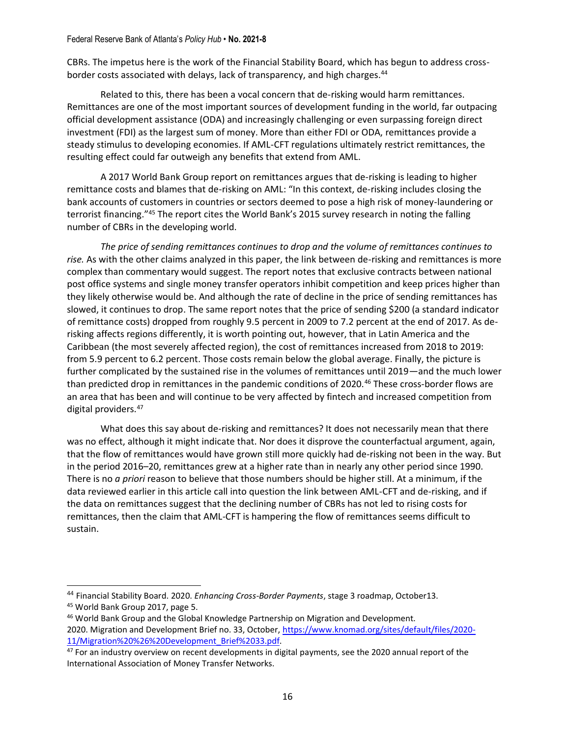CBRs. The impetus here is the work of the Financial Stability Board, which has begun to address crossborder costs associated with delays, lack of transparency, and high charges.<sup>44</sup>

Related to this, there has been a vocal concern that de-risking would harm remittances. Remittances are one of the most important sources of development funding in the world, far outpacing official development assistance (ODA) and increasingly challenging or even surpassing foreign direct investment (FDI) as the largest sum of money. More than either FDI or ODA, remittances provide a steady stimulus to developing economies. If AML-CFT regulations ultimately restrict remittances, the resulting effect could far outweigh any benefits that extend from AML.

A 2017 World Bank Group report on remittances argues that de-risking is leading to higher remittance costs and blames that de-risking on AML: "In this context, de-risking includes closing the bank accounts of customers in countries or sectors deemed to pose a high risk of money-laundering or terrorist financing."<sup>45</sup> The report cites the World Bank's 2015 survey research in noting the falling number of CBRs in the developing world.

*The price of sending remittances continues to drop and the volume of remittances continues to rise.* As with the other claims analyzed in this paper, the link between de-risking and remittances is more complex than commentary would suggest. The report notes that exclusive contracts between national post office systems and single money transfer operators inhibit competition and keep prices higher than they likely otherwise would be. And although the rate of decline in the price of sending remittances has slowed, it continues to drop. The same report notes that the price of sending \$200 (a standard indicator of remittance costs) dropped from roughly 9.5 percent in 2009 to 7.2 percent at the end of 2017. As derisking affects regions differently, it is worth pointing out, however, that in Latin America and the Caribbean (the most severely affected region), the cost of remittances increased from 2018 to 2019: from 5.9 percent to 6.2 percent. Those costs remain below the global average. Finally, the picture is further complicated by the sustained rise in the volumes of remittances until 2019—and the much lower than predicted drop in remittances in the pandemic conditions of 2020.<sup>46</sup> These cross-border flows are an area that has been and will continue to be very affected by fintech and increased competition from digital providers.<sup>47</sup>

What does this say about de-risking and remittances? It does not necessarily mean that there was no effect, although it might indicate that. Nor does it disprove the counterfactual argument, again, that the flow of remittances would have grown still more quickly had de-risking not been in the way. But in the period 2016–20, remittances grew at a higher rate than in nearly any other period since 1990. There is no *a priori* reason to believe that those numbers should be higher still. At a minimum, if the data reviewed earlier in this article call into question the link between AML-CFT and de-risking, and if the data on remittances suggest that the declining number of CBRs has not led to rising costs for remittances, then the claim that AML-CFT is hampering the flow of remittances seems difficult to sustain.

<sup>44</sup> Financial Stability Board. 2020. *Enhancing Cross-Border Payments*, stage 3 roadmap, October13. <sup>45</sup> World Bank Group 2017, page 5.

<sup>46</sup> World Bank Group and the Global Knowledge Partnership on Migration and Development. 2020. Migration and Development Brief no. 33, October, [https://www.knomad.org/sites/default/files/2020-](https://www.knomad.org/sites/default/files/2020-11/Migration%20%26%20Development_Brief%2033.pdf)

[<sup>11/</sup>Migration%20%26%20Development\\_Brief%2033.pdf.](https://www.knomad.org/sites/default/files/2020-11/Migration%20%26%20Development_Brief%2033.pdf) <sup>47</sup> For an industry overview on recent developments in digital payments, see the 2020 annual report of the International Association of Money Transfer Networks.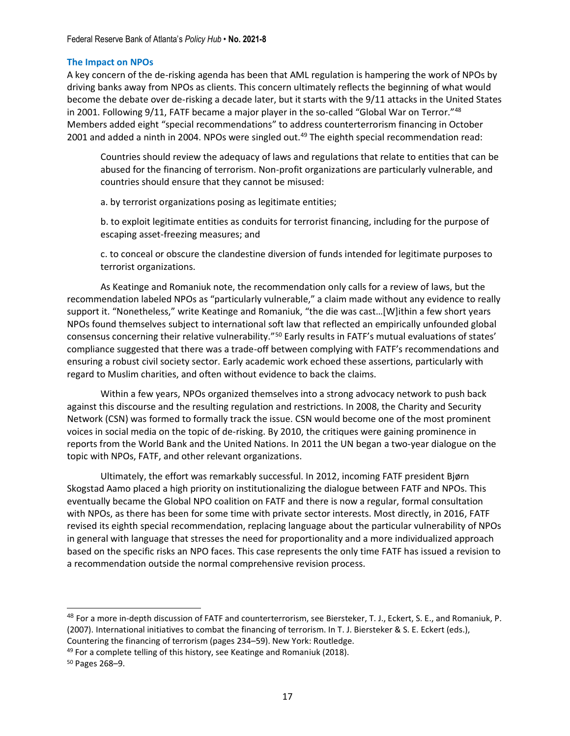### **The Impact on NPOs**

A key concern of the de-risking agenda has been that AML regulation is hampering the work of NPOs by driving banks away from NPOs as clients. This concern ultimately reflects the beginning of what would become the debate over de-risking a decade later, but it starts with the 9/11 attacks in the United States in 2001. Following 9/11, FATF became a major player in the so-called "Global War on Terror."<sup>48</sup> Members added eight "special recommendations" to address counterterrorism financing in October 2001 and added a ninth in 2004. NPOs were singled out.<sup>49</sup> The eighth special recommendation read:

Countries should review the adequacy of laws and regulations that relate to entities that can be abused for the financing of terrorism. Non-profit organizations are particularly vulnerable, and countries should ensure that they cannot be misused:

a. by terrorist organizations posing as legitimate entities;

b. to exploit legitimate entities as conduits for terrorist financing, including for the purpose of escaping asset-freezing measures; and

c. to conceal or obscure the clandestine diversion of funds intended for legitimate purposes to terrorist organizations.

As Keatinge and Romaniuk note, the recommendation only calls for a review of laws, but the recommendation labeled NPOs as "particularly vulnerable," a claim made without any evidence to really support it. "Nonetheless," write Keatinge and Romaniuk, "the die was cast…[W]ithin a few short years NPOs found themselves subject to international soft law that reflected an empirically unfounded global consensus concerning their relative vulnerability."<sup>50</sup> Early results in FATF's mutual evaluations of states' compliance suggested that there was a trade-off between complying with FATF's recommendations and ensuring a robust civil society sector. Early academic work echoed these assertions, particularly with regard to Muslim charities, and often without evidence to back the claims.

Within a few years, NPOs organized themselves into a strong advocacy network to push back against this discourse and the resulting regulation and restrictions. In 2008, the Charity and Security Network (CSN) was formed to formally track the issue. CSN would become one of the most prominent voices in social media on the topic of de-risking. By 2010, the critiques were gaining prominence in reports from the World Bank and the United Nations. In 2011 the UN began a two-year dialogue on the topic with NPOs, FATF, and other relevant organizations.

Ultimately, the effort was remarkably successful. In 2012, incoming FATF president Bjørn Skogstad Aamo placed a high priority on institutionalizing the dialogue between FATF and NPOs. This eventually became the Global NPO coalition on FATF and there is now a regular, formal consultation with NPOs, as there has been for some time with private sector interests. Most directly, in 2016, FATF revised its eighth special recommendation, replacing language about the particular vulnerability of NPOs in general with language that stresses the need for proportionality and a more individualized approach based on the specific risks an NPO faces. This case represents the only time FATF has issued a revision to a recommendation outside the normal comprehensive revision process.

<sup>48</sup> For a more in-depth discussion of FATF and counterterrorism, see Biersteker, T. J., Eckert, S. E., and Romaniuk, P. (2007). International initiatives to combat the financing of terrorism. In T. J. Biersteker & S. E. Eckert (eds.), Countering the financing of terrorism (pages 234–59). New York: Routledge.

<sup>&</sup>lt;sup>49</sup> For a complete telling of this history, see Keatinge and Romaniuk (2018).

<sup>50</sup> Pages 268–9.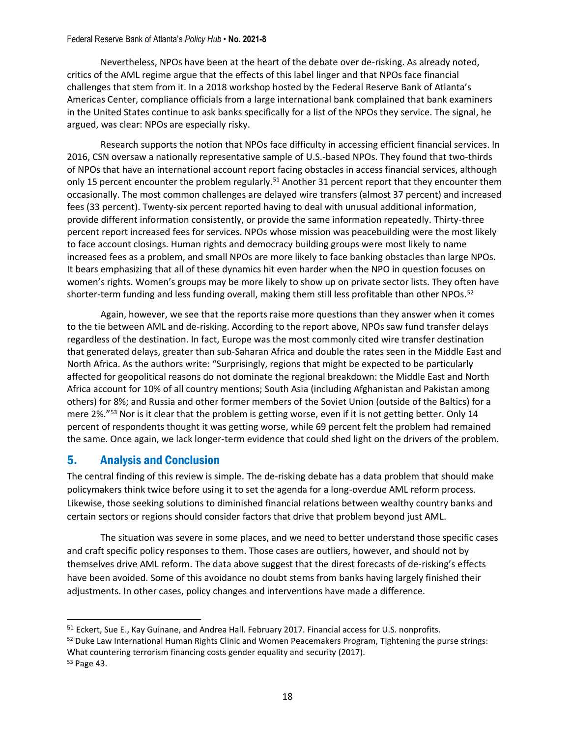Nevertheless, NPOs have been at the heart of the debate over de-risking. As already noted, critics of the AML regime argue that the effects of this label linger and that NPOs face financial challenges that stem from it. In a 2018 workshop hosted by the Federal Reserve Bank of Atlanta's Americas Center, compliance officials from a large international bank complained that bank examiners in the United States continue to ask banks specifically for a list of the NPOs they service. The signal, he argued, was clear: NPOs are especially risky.

Research supports the notion that NPOs face difficulty in accessing efficient financial services. In 2016, CSN oversaw a nationally representative sample of U.S.-based NPOs. They found that two-thirds of NPOs that have an international account report facing obstacles in access financial services, although only 15 percent encounter the problem regularly.<sup>51</sup> Another 31 percent report that they encounter them occasionally. The most common challenges are delayed wire transfers (almost 37 percent) and increased fees (33 percent). Twenty-six percent reported having to deal with unusual additional information, provide different information consistently, or provide the same information repeatedly. Thirty-three percent report increased fees for services. NPOs whose mission was peacebuilding were the most likely to face account closings. Human rights and democracy building groups were most likely to name increased fees as a problem, and small NPOs are more likely to face banking obstacles than large NPOs. It bears emphasizing that all of these dynamics hit even harder when the NPO in question focuses on women's rights. Women's groups may be more likely to show up on private sector lists. They often have shorter-term funding and less funding overall, making them still less profitable than other NPOs.<sup>52</sup>

Again, however, we see that the reports raise more questions than they answer when it comes to the tie between AML and de-risking. According to the report above, NPOs saw fund transfer delays regardless of the destination. In fact, Europe was the most commonly cited wire transfer destination that generated delays, greater than sub-Saharan Africa and double the rates seen in the Middle East and North Africa. As the authors write: "Surprisingly, regions that might be expected to be particularly affected for geopolitical reasons do not dominate the regional breakdown: the Middle East and North Africa account for 10% of all country mentions; South Asia (including Afghanistan and Pakistan among others) for 8%; and Russia and other former members of the Soviet Union (outside of the Baltics) for a mere 2%."<sup>53</sup> Nor is it clear that the problem is getting worse, even if it is not getting better. Only 14 percent of respondents thought it was getting worse, while 69 percent felt the problem had remained the same. Once again, we lack longer-term evidence that could shed light on the drivers of the problem.

# 5. Analysis and Conclusion

The central finding of this review is simple. The de-risking debate has a data problem that should make policymakers think twice before using it to set the agenda for a long-overdue AML reform process. Likewise, those seeking solutions to diminished financial relations between wealthy country banks and certain sectors or regions should consider factors that drive that problem beyond just AML.

The situation was severe in some places, and we need to better understand those specific cases and craft specific policy responses to them. Those cases are outliers, however, and should not by themselves drive AML reform. The data above suggest that the direst forecasts of de-risking's effects have been avoided. Some of this avoidance no doubt stems from banks having largely finished their adjustments. In other cases, policy changes and interventions have made a difference.

<sup>51</sup> Eckert, Sue E., Kay Guinane, and Andrea Hall. February 2017. Financial access for U.S. nonprofits.

<sup>52</sup> Duke Law International Human Rights Clinic and Women Peacemakers Program, Tightening the purse strings: What countering terrorism financing costs gender equality and security (2017).

<sup>53</sup> Page 43.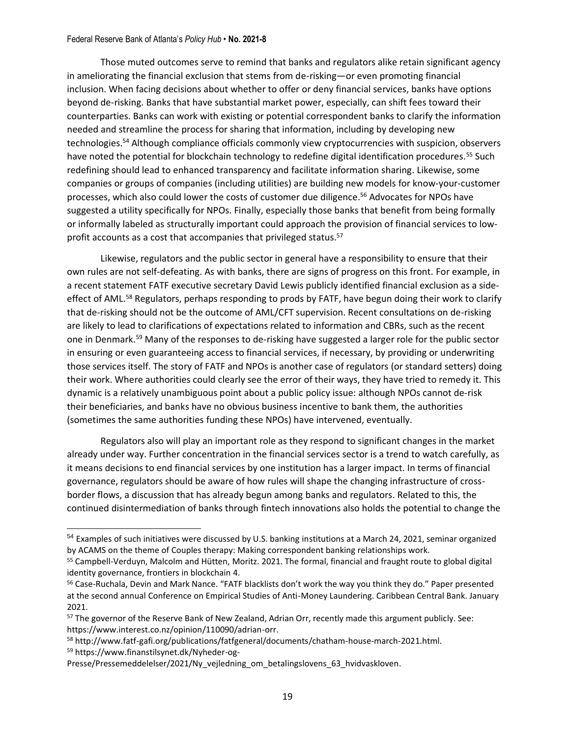Those muted outcomes serve to remind that banks and regulators alike retain significant agency in ameliorating the financial exclusion that stems from de-risking—or even promoting financial inclusion. When facing decisions about whether to offer or deny financial services, banks have options beyond de-risking. Banks that have substantial market power, especially, can shift fees toward their counterparties. Banks can work with existing or potential correspondent banks to clarify the information needed and streamline the process for sharing that information, including by developing new technologies.<sup>54</sup> Although compliance officials commonly view cryptocurrencies with suspicion, observers have noted the potential for blockchain technology to redefine digital identification procedures.<sup>55</sup> Such redefining should lead to enhanced transparency and facilitate information sharing. Likewise, some companies or groups of companies (including utilities) are building new models for know-your-customer processes, which also could lower the costs of customer due diligence. <sup>56</sup> Advocates for NPOs have suggested a utility specifically for NPOs. Finally, especially those banks that benefit from being formally or informally labeled as structurally important could approach the provision of financial services to lowprofit accounts as a cost that accompanies that privileged status.<sup>57</sup>

Likewise, regulators and the public sector in general have a responsibility to ensure that their own rules are not self-defeating. As with banks, there are signs of progress on this front. For example, in a recent statement FATF executive secretary David Lewis publicly identified financial exclusion as a sideeffect of AML.<sup>58</sup> Regulators, perhaps responding to prods by FATF, have begun doing their work to clarify that de-risking should not be the outcome of AML/CFT supervision. Recent consultations on de-risking are likely to lead to clarifications of expectations related to information and CBRs, such as the recent one in Denmark.<sup>59</sup> Many of the responses to de-risking have suggested a larger role for the public sector in ensuring or even guaranteeing access to financial services, if necessary, by providing or underwriting those services itself. The story of FATF and NPOs is another case of regulators (or standard setters) doing their work. Where authorities could clearly see the error of their ways, they have tried to remedy it. This dynamic is a relatively unambiguous point about a public policy issue: although NPOs cannot de-risk their beneficiaries, and banks have no obvious business incentive to bank them, the authorities (sometimes the same authorities funding these NPOs) have intervened, eventually.

Regulators also will play an important role as they respond to significant changes in the market already under way. Further concentration in the financial services sector is a trend to watch carefully, as it means decisions to end financial services by one institution has a larger impact. In terms of financial governance, regulators should be aware of how rules will shape the changing infrastructure of crossborder flows, a discussion that has already begun among banks and regulators. Related to this, the continued disintermediation of banks through fintech innovations also holds the potential to change the

<sup>58</sup> http://www.fatf-gafi.org/publications/fatfgeneral/documents/chatham-house-march-2021.html. <sup>59</sup> https://www.finanstilsynet.dk/Nyheder-og-

<sup>54</sup> Examples of such initiatives were discussed by U.S. banking institutions at a March 24, 2021, seminar organized by ACAMS on the theme of Couples therapy: Making correspondent banking relationships work.

<sup>55</sup> Campbell-Verduyn, Malcolm and Hütten, Moritz. 2021. The formal, financial and fraught route to global digital identity governance, frontiers in blockchain 4.

<sup>56</sup> Case-Ruchala, Devin and Mark Nance. "FATF blacklists don't work the way you think they do." Paper presented at the second annual Conference on Empirical Studies of Anti-Money Laundering. Caribbean Central Bank. January 2021.

<sup>&</sup>lt;sup>57</sup> The governor of the Reserve Bank of New Zealand, Adrian Orr, recently made this argument publicly. See: https://www.interest.co.nz/opinion/110090/adrian-orr.

Presse/Pressemeddelelser/2021/Ny\_vejledning\_om\_betalingslovens\_63\_hvidvaskloven.